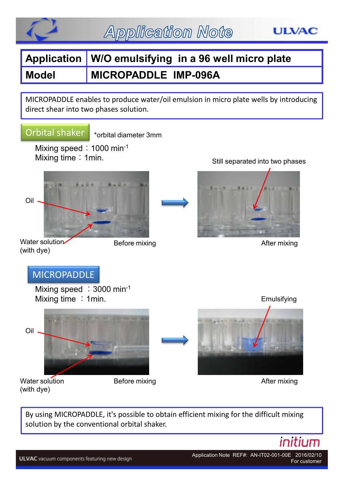

# **Application W/O emulsifying in a 96 well micro plate Model MICROPADDLE IMP-096A**

MICROPADDLE enables to produce water/oil emulsion in micro plate wells by introducing direct shear into two phases solution.

#### Orbital shaker

\*orbital diameter 3mm

Mixing speed:  $1000$  min-1 Mixing time: 1min.





Water solution (with dye)

Before mixing



Still separated into two phases

After mixing

By using MICROPADDLE, it's possible to obtain efficient mixing for the difficult mixing solution by the conventional orbital shaker.

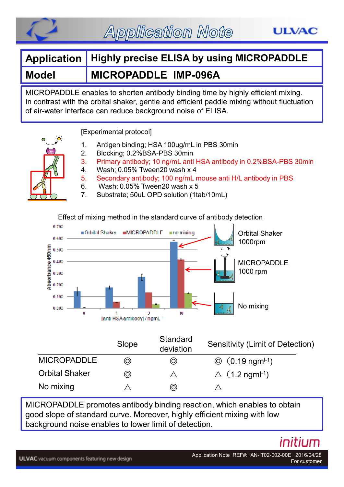

**Application Note** 

### **Application Highly precise ELISA by using MICROPADDLE**

#### **Model MICROPADDLE IMP-096A**

MICROPADDLE enables to shorten antibody binding time by highly efficient mixing. In contrast with the orbital shaker, gentle and efficient paddle mixing without fluctuation of air-water interface can reduce background noise of ELISA.

[Experimental protocol]

- 1. Antigen binding; HSA 100ug/mL in PBS 30min
- 2. Blocking; 0.2%BSA-PBS 30min
- 3. Primary antibody; 10 ng/mL anti HSA antibody in 0.2%BSA-PBS 30min
	- 4. Wash; 0.05% Tween20 wash x 4
	- 5. Secondary antibody; 100 ng/mL mouse anti H/L antibody in PBS
	- 6. Wash; 0.05% Tween20 wash x 5
	- 7. Substrate; 50uL OPD solution (1tab/10mL)

Effect of mixing method in the standard curve of antibody detection



|                       | Slope | Standard<br>deviation | Sensitivity (Limit of Detection)         |
|-----------------------|-------|-----------------------|------------------------------------------|
| <b>MICROPADDLE</b>    | ⊚     | ◎                     | $\circled{0}$ (0.19 ngm <sup>[-1</sup> ) |
| <b>Orbital Shaker</b> | ⊚     |                       | $\triangle$ (1.2 ngml <sup>-1</sup> )    |
| No mixing             |       | $\circledcirc$        |                                          |

MICROPADDLE promotes antibody binding reaction, which enables to obtain good slope of standard curve. Moreover, highly efficient mixing with low background noise enables to lower limit of detection.

## initium